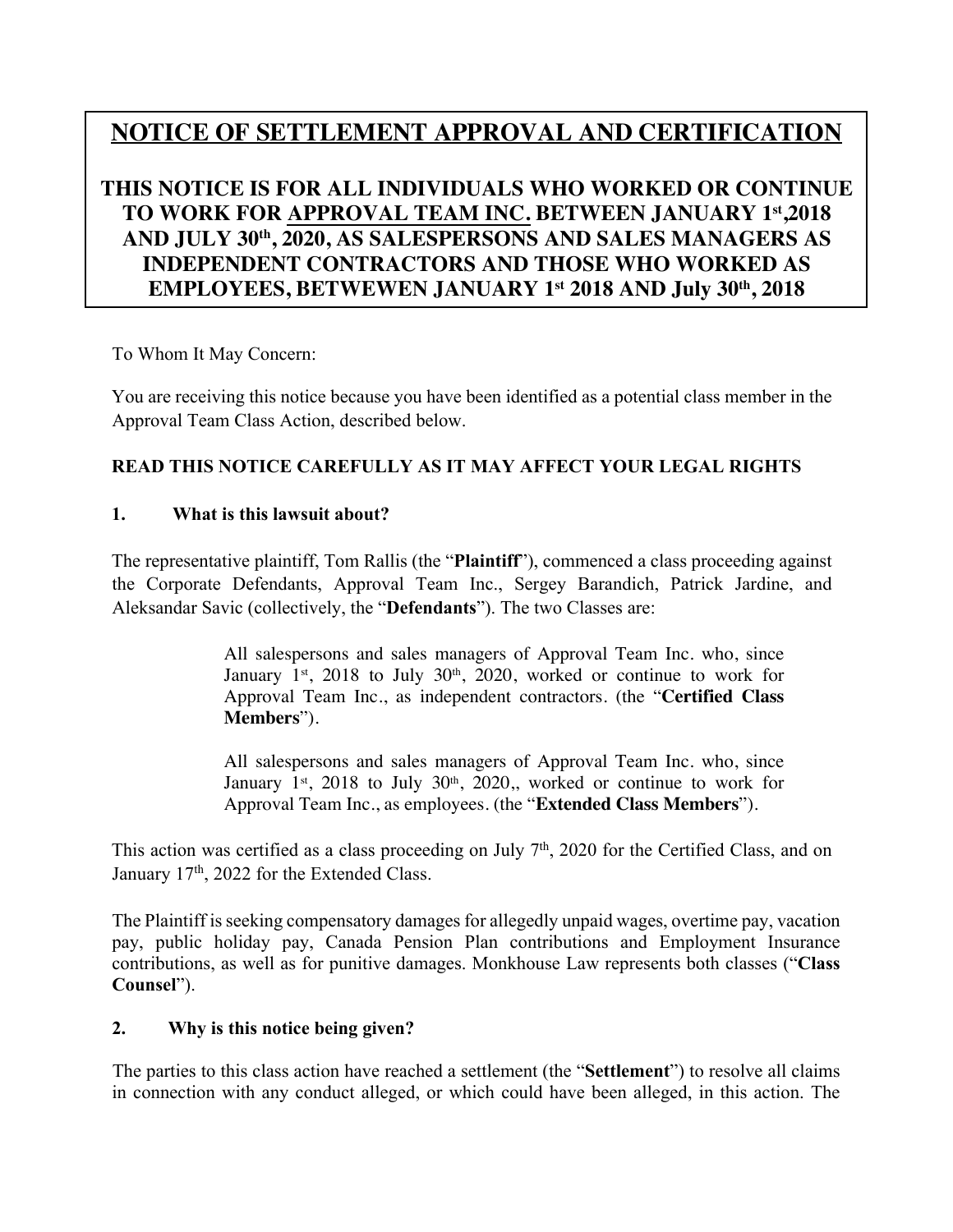# **NOTICE OF SETTLEMENT APPROVAL AND CERTIFICATION**

# **THIS NOTICE IS FOR ALL INDIVIDUALS WHO WORKED OR CONTINUE TO WORK FOR APPROVAL TEAM INC. BETWEEN JANUARY 1 st ,2018 AND JULY 30th , 2020, AS SALESPERSONS AND SALES MANAGERS AS INDEPENDENT CONTRACTORS AND THOSE WHO WORKED AS EMPLOYEES, BETWEWEN JANUARY 1 st 2018 AND July 30th , 2018**

To Whom It May Concern:

You are receiving this notice because you have been identified as a potential class member in the Approval Team Class Action, described below.

# **READ THIS NOTICE CAREFULLY AS IT MAY AFFECT YOUR LEGAL RIGHTS**

#### **1. What is this lawsuit about?**

The representative plaintiff, Tom Rallis (the "**Plaintiff**"), commenced a class proceeding against the Corporate Defendants, Approval Team Inc., Sergey Barandich, Patrick Jardine, and Aleksandar Savic (collectively, the "**Defendants**"). The two Classes are:

> All salespersons and sales managers of Approval Team Inc. who, since January  $1^{st}$ , 2018 to July 30<sup>th</sup>, 2020, worked or continue to work for Approval Team Inc., as independent contractors. (the "**Certified Class Members**").

> All salespersons and sales managers of Approval Team Inc. who, since January  $1<sup>st</sup>$ , 2018 to July 30<sup>th</sup>, 2020, worked or continue to work for Approval Team Inc., as employees. (the "**Extended Class Members**").

This action was certified as a class proceeding on July  $7<sup>th</sup>$ , 2020 for the Certified Class, and on January 17<sup>th</sup>, 2022 for the Extended Class.

The Plaintiff is seeking compensatory damages for allegedly unpaid wages, overtime pay, vacation pay, public holiday pay, Canada Pension Plan contributions and Employment Insurance contributions, as well as for punitive damages. Monkhouse Law represents both classes ("**Class Counsel**").

#### **2. Why is this notice being given?**

The parties to this class action have reached a settlement (the "**Settlement**") to resolve all claims in connection with any conduct alleged, or which could have been alleged, in this action. The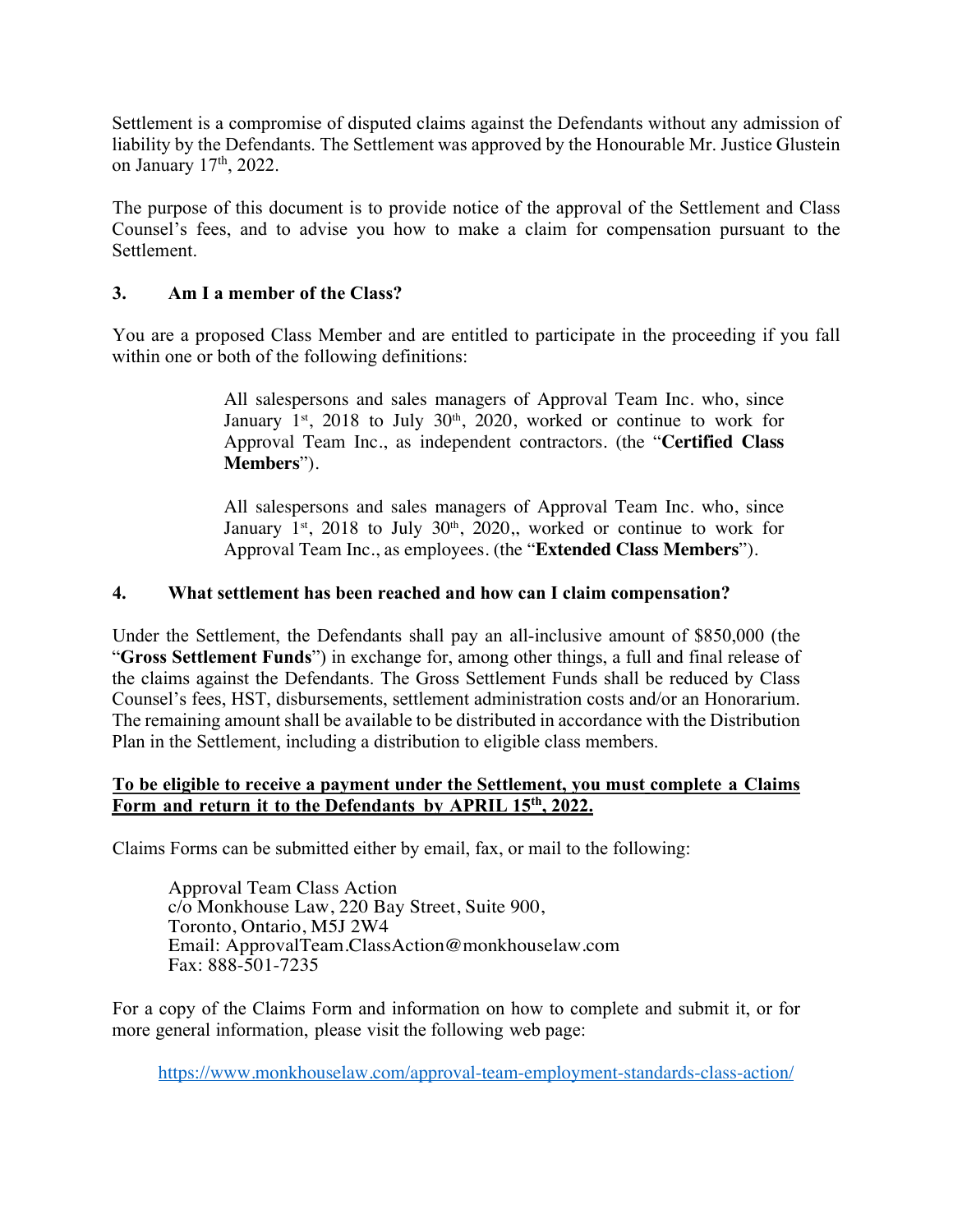Settlement is a compromise of disputed claims against the Defendants without any admission of liability by the Defendants. The Settlement was approved by the Honourable Mr. Justice Glustein on January 17th, 2022.

The purpose of this document is to provide notice of the approval of the Settlement and Class Counsel's fees, and to advise you how to make a claim for compensation pursuant to the Settlement.

#### **3. Am I a member of the Class?**

You are a proposed Class Member and are entitled to participate in the proceeding if you fall within one or both of the following definitions:

> All salespersons and sales managers of Approval Team Inc. who, since January  $1<sup>st</sup>$ , 2018 to July 30<sup>th</sup>, 2020, worked or continue to work for Approval Team Inc., as independent contractors. (the "**Certified Class Members**").

> All salespersons and sales managers of Approval Team Inc. who, since January  $1^{st}$ , 2018 to July 30<sup>th</sup>, 2020,, worked or continue to work for Approval Team Inc., as employees. (the "**Extended Class Members**").

#### **4. What settlement has been reached and how can I claim compensation?**

Under the Settlement, the Defendants shall pay an all-inclusive amount of \$850,000 (the "**Gross Settlement Funds**") in exchange for, among other things, a full and final release of the claims against the Defendants. The Gross Settlement Funds shall be reduced by Class Counsel's fees, HST, disbursements, settlement administration costs and/or an Honorarium. The remaining amount shall be available to be distributed in accordance with the Distribution Plan in the Settlement, including a distribution to eligible class members.

#### **To be eligible to receive a payment under the Settlement, you must complete a Claims Form and return it to the Defendants by APRIL 15th, 2022.**

Claims Forms can be submitted either by email, fax, or mail to the following:

Approval Team Class Action c/o Monkhouse Law, 220 Bay Street, Suite 900, Toronto, Ontario, M5J 2W4 Email: ApprovalTeam.ClassAction@monkhouselaw.com Fax: 888-501-7235

For a copy of the Claims Form and information on how to complete and submit it, or for more general information, please visit the following web page:

https://www.monkhouselaw.com/approval-team-employment-standards-class-action/